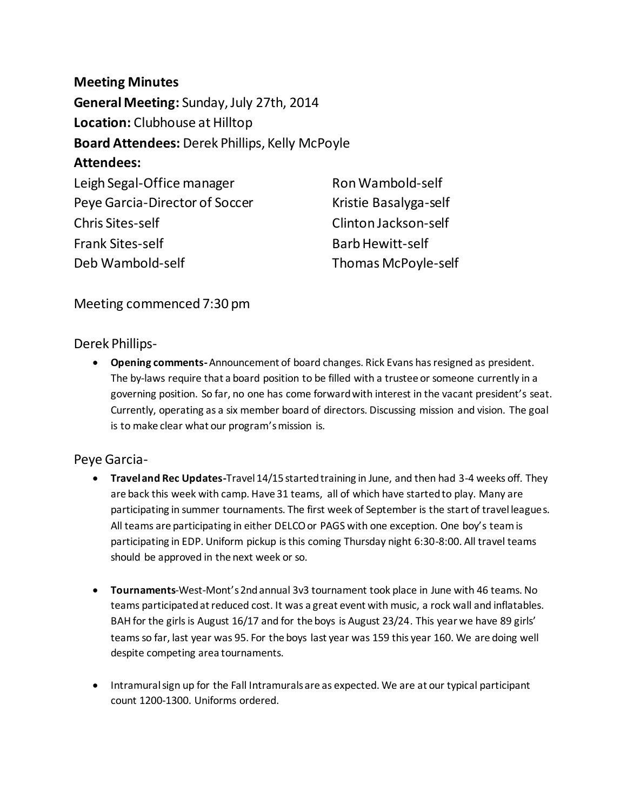**Meeting Minutes General Meeting:** Sunday, July 27th, 2014 **Location:** Clubhouse at Hilltop **Board Attendees:** Derek Phillips, Kelly McPoyle **Attendees:**  Leigh Segal-Office manager Peye Garcia-Director of Soccer Chris Sites-self Frank Sites-self Deb Wambold-self Ron Wambold-self Barb Hewitt-self

Kristie Basalyga-self Clinton Jackson-self Thomas McPoyle-self

Meeting commenced 7:30 pm

Derek Phillips-

 **Opening comments-**Announcement of board changes. Rick Evans has resigned as president. The by-laws require that a board position to be filled with a trustee or someone currently in a governing position. So far, no one has come forward with interest in the vacant president's seat. Currently, operating as a six member board of directors. Discussing mission and vision. The goal is to make clear what our program's mission is.

## Peye Garcia-

- **Travel and Rec Updates-**Travel 14/15 started training in June, and then had 3-4 weeks off. They are back this week with camp. Have 31 teams, all of which have started to play. Many are participating in summer tournaments. The first week of September is the start of travel leagues. All teams are participating in either DELCO or PAGS with one exception. One boy's teamis participating in EDP. Uniform pickup is this coming Thursday night 6:30-8:00. All travel teams should be approved in the next week or so.
- **Tournaments**-West-Mont's2nd annual 3v3 tournament took place in June with 46 teams. No teams participated at reduced cost. It was a great event with music, a rock wall and inflatables. BAH for the girls is August 16/17 and for the boys is August 23/24. This year we have 89 girls' teams so far, last year was 95. For the boys last year was 159 this year 160. We are doing well despite competing area tournaments.
- Intramural sign up for the Fall Intramurals are as expected. We are at our typical participant count 1200-1300. Uniforms ordered.